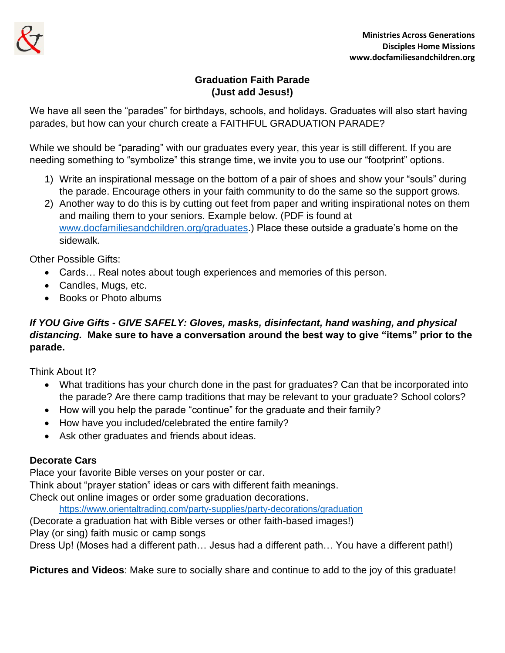

## **Graduation Faith Parade (Just add Jesus!)**

We have all seen the "parades" for birthdays, schools, and holidays. Graduates will also start having parades, but how can your church create a FAITHFUL GRADUATION PARADE?

While we should be "parading" with our graduates every year, this year is still different. If you are needing something to "symbolize" this strange time, we invite you to use our "footprint" options.

- 1) Write an inspirational message on the bottom of a pair of shoes and show your "souls" during the parade. Encourage others in your faith community to do the same so the support grows.
- 2) Another way to do this is by cutting out feet from paper and writing inspirational notes on them and mailing them to your seniors. Example below. (PDF is found at [www.docfamiliesandchildren.org/graduates.](http://www.docfamiliesandchildren.org/graduates)) Place these outside a graduate's home on the sidewalk.

Other Possible Gifts:

- Cards… Real notes about tough experiences and memories of this person.
- Candles, Mugs, etc.
- Books or Photo albums

## *If YOU Give Gifts - GIVE SAFELY: Gloves, masks, disinfectant, hand washing, and physical distancing.* **Make sure to have a conversation around the best way to give "items" prior to the parade.**

Think About It?

- What traditions has your church done in the past for graduates? Can that be incorporated into the parade? Are there camp traditions that may be relevant to your graduate? School colors?
- How will you help the parade "continue" for the graduate and their family?
- How have you included/celebrated the entire family?
- Ask other graduates and friends about ideas.

## **Decorate Cars**

Place your favorite Bible verses on your poster or car.

Think about "prayer station" ideas or cars with different faith meanings.

Check out online images or order some graduation decorations.

<https://www.orientaltrading.com/party-supplies/party-decorations/graduation>

(Decorate a graduation hat with Bible verses or other faith-based images!)

Play (or sing) faith music or camp songs

Dress Up! (Moses had a different path… Jesus had a different path… You have a different path!)

**Pictures and Videos**: Make sure to socially share and continue to add to the joy of this graduate!